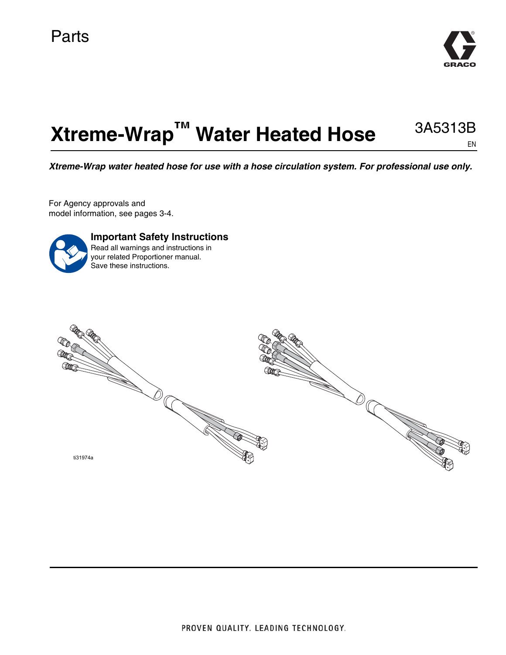

#### **Xtreme-Wrap™ Water Heated Hose** 3A5313B EN

*Xtreme-Wrap water heated hose for use with a hose circulation system. For professional use only.*

For Agency approvals and model information, see pages 3-4.



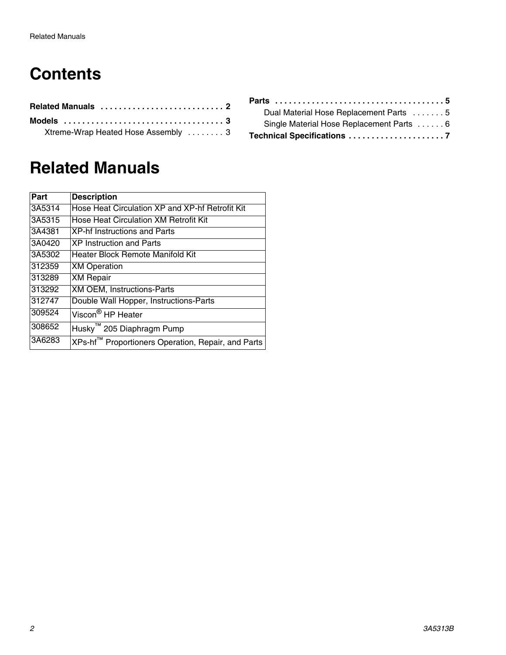# **Contents**

| Xtreme-Wrap Heated Hose Assembly  3 |  |  |  |  |
|-------------------------------------|--|--|--|--|

# <span id="page-1-0"></span>**[Related Manuals](#page-6-0)**

| Part   | <b>Description</b>                                 |
|--------|----------------------------------------------------|
| 3A5314 | Hose Heat Circulation XP and XP-hf Retrofit Kit    |
| 3A5315 | Hose Heat Circulation XM Retrofit Kit              |
| 3A4381 | <b>XP-hf Instructions and Parts</b>                |
| 3A0420 | <b>XP Instruction and Parts</b>                    |
| 3A5302 | Heater Block Remote Manifold Kit                   |
| 312359 | <b>XM Operation</b>                                |
| 313289 | <b>XM Repair</b>                                   |
| 313292 | <b>XM OEM, Instructions-Parts</b>                  |
| 312747 | Double Wall Hopper, Instructions-Parts             |
| 309524 | Viscon <sup>®</sup> HP Heater                      |
| 308652 | Husky <sup>™</sup> 205 Diaphragm Pump              |
| 3A6283 | XPs-hf™ Proportioners Operation, Repair, and Parts |

| Dual Material Hose Replacement Parts 5    |  |
|-------------------------------------------|--|
| Single Material Hose Replacement Parts  6 |  |
|                                           |  |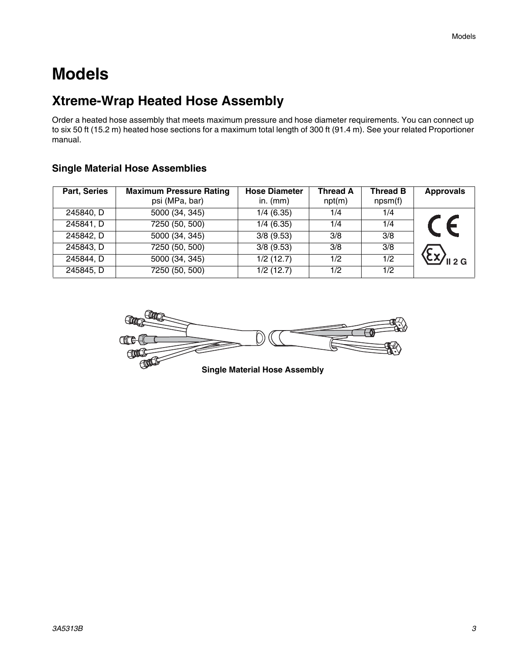# <span id="page-2-0"></span>**Models**

## <span id="page-2-1"></span>**Xtreme-Wrap Heated Hose Assembly**

Order a heated hose assembly that meets maximum pressure and hose diameter requirements. You can connect up to six 50 ft (15.2 m) heated hose sections for a maximum total length of 300 ft (91.4 m). See your related Proportioner manual.

| Part, Series | <b>Maximum Pressure Rating</b><br>psi (MPa, bar) | <b>Hose Diameter</b><br>in. $(mm)$ | <b>Thread A</b><br>npt(m) | Thread B<br>npsm(f) | <b>Approvals</b> |
|--------------|--------------------------------------------------|------------------------------------|---------------------------|---------------------|------------------|
| 245840, D    | 5000 (34, 345)                                   | 1/4(6.35)                          | 1/4                       | 1/4                 |                  |
| 245841, D    | 7250 (50, 500)                                   | 1/4(6.35)                          | 1/4                       | 1/4                 |                  |
| 245842, D    | 5000 (34, 345)                                   | $3/8$ (9.53)                       | 3/8                       | 3/8                 |                  |
| 245843, D    | 7250 (50, 500)                                   | $3/8$ (9.53)                       | 3/8                       | 3/8                 |                  |
| 245844, D    | 5000 (34, 345)                                   | $\sqrt{1/2}$ (12.7)                | 1/2                       | 1/2                 | II 2G            |
| 245845, D    | 7250 (50, 500)                                   | 1/2 (12.7)                         | 1/2                       | 1/2                 |                  |

#### **Single Material Hose Assemblies**

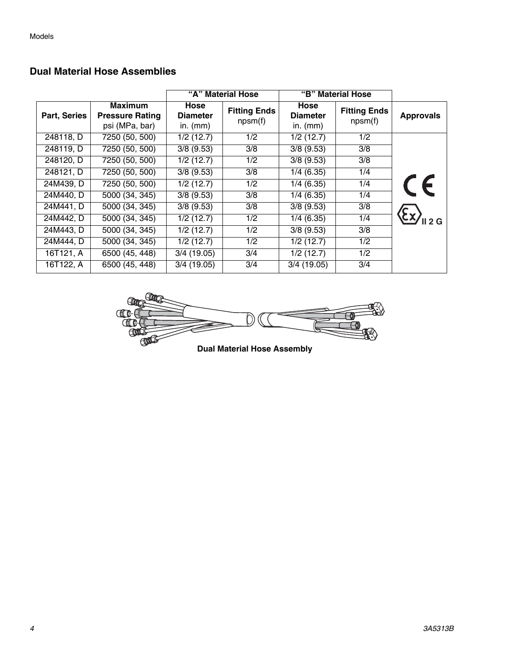|              |                                                            |                                       | "A" Material Hose              |                                       | "B" Material Hose              |                  |
|--------------|------------------------------------------------------------|---------------------------------------|--------------------------------|---------------------------------------|--------------------------------|------------------|
| Part, Series | <b>Maximum</b><br><b>Pressure Rating</b><br>psi (MPa, bar) | Hose<br><b>Diameter</b><br>in. $(mm)$ | <b>Fitting Ends</b><br>npsm(f) | Hose<br><b>Diameter</b><br>in. $(mm)$ | <b>Fitting Ends</b><br>npsm(f) | <b>Approvals</b> |
| 248118, D    | 7250 (50, 500)                                             | 1/2(12.7)                             | 1/2                            | 1/2(12.7)                             | 1/2                            |                  |
| 248119, D    | 7250 (50, 500)                                             | $3/8$ (9.53)                          | 3/8                            | $3/8$ (9.53)                          | 3/8                            |                  |
| 248120, D    | 7250 (50, 500)                                             | 1/2(12.7)                             | 1/2                            | $3/8$ (9.53)                          | 3/8                            |                  |
| 248121, D    | 7250 (50, 500)                                             | $3/8$ (9.53)                          | 3/8                            | 1/4(6.35)                             | 1/4                            |                  |
| 24M439, D    | 7250 (50, 500)                                             | 1/2(12.7)                             | 1/2                            | 1/4(6.35)                             | 1/4                            | CE               |
| 24M440, D    | 5000 (34, 345)                                             | $3/8$ (9.53)                          | 3/8                            | 1/4(6.35)                             | 1/4                            |                  |
| 24M441, D    | $\overline{5000}$ (34, 345)                                | $3/8$ (9.53)                          | 3/8                            | $3/8$ (9.53)                          | 3/8                            |                  |
| 24M442, D    | 5000 (34, 345)                                             | 1/2(12.7)                             | 1/2                            | 1/4(6.35)                             | 1/4                            | $\sqrt{2}$       |
| 24M443, D    | 5000 (34, 345)                                             | $1/2$ (12.7)                          | 1/2                            | $3/8$ (9.53)                          | $\overline{3/8}$               |                  |
| 24M444, D    | 5000 (34, 345)                                             | 1/2(12.7)                             | 1/2                            | 1/2(12.7)                             | 1/2                            |                  |
| 16T121, A    | 6500 (45, 448)                                             | $3/4$ (19.05)                         | 3/4                            | 1/2(12.7)                             | 1/2                            |                  |
| 16T122, A    | 6500(45, 448)                                              | 3/4(19.05)                            | 3/4                            | $3/4$ (19.05)                         | 3/4                            |                  |

#### **Dual Material Hose Assemblies**

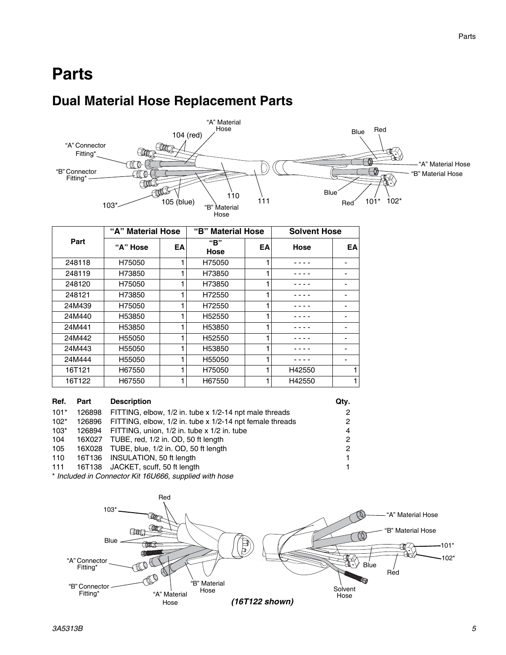## <span id="page-4-0"></span>**Parts**

### <span id="page-4-1"></span>**Dual Material Hose Replacement Parts**



|        | "A" Material Hose |    | <b>Material Hose</b><br>"B" |    | <b>Solvent Hose</b> |    |
|--------|-------------------|----|-----------------------------|----|---------------------|----|
| Part   | "A" Hose          | EA | "B"<br><b>Hose</b>          | EA | Hose                | EA |
| 248118 | H75050            |    | H75050                      |    |                     |    |
| 248119 | H73850            |    | H73850                      |    |                     |    |
| 248120 | H75050            |    | H73850                      |    |                     |    |
| 248121 | H73850            |    | H72550                      |    |                     |    |
| 24M439 | H75050            |    | H72550                      |    |                     |    |
| 24M440 | H53850            |    | H52550                      |    |                     |    |
| 24M441 | H53850            |    | H53850                      |    |                     |    |
| 24M442 | H55050            |    | H52550                      |    |                     |    |
| 24M443 | H55050            |    | H53850                      |    |                     |    |
| 24M444 | H55050            |    | H55050                      |    |                     |    |
| 16T121 | H67550            |    | H75050                      |    | H42550              |    |
| 16T122 | H67550            |    | H67550                      |    | H42550              |    |

| Ref.   | Part   | <b>Description</b>                                       | Qtv. |
|--------|--------|----------------------------------------------------------|------|
| $101*$ | 126898 | FITTING, elbow, 1/2 in. tube x 1/2-14 npt male threads   | 2    |
| $102*$ | 126896 | FITTING, elbow, 1/2 in. tube x 1/2-14 npt female threads | 2    |
| $103*$ | 126894 | FITTING, union, 1/2 in. tube x 1/2 in. tube              | 4    |
| 104    | 16X027 | TUBE, red, 1/2 in. OD, 50 ft length                      | 2    |
| 105    |        | 16X028 TUBE, blue, 1/2 in. OD, 50 ft length              | 2    |
| 110    | 16T136 | INSULATION, 50 ft length                                 |      |
| 111    | 16T138 | JACKET, scuff, 50 ft length                              |      |

\* *Included in Connector Kit 16U666, supplied with hose*

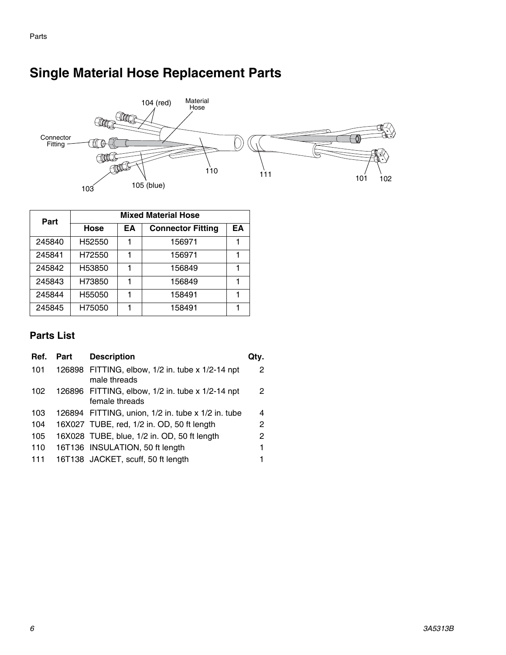#### Material<br>Hose 104 (red)  $\mathbb{M}$  , Harr Connector ⊖റ <u>AO A</u>  $\left(\ \right)$ Fitting FOLS FILLS 110  $\frac{1}{111}$  $101 - 102$ 103 105 (blue)

## <span id="page-5-0"></span>**Single Material Hose Replacement Parts**

| Part   | <b>Mixed Material Hose</b> |    |                          |    |  |  |  |
|--------|----------------------------|----|--------------------------|----|--|--|--|
|        | Hose                       | EA | <b>Connector Fitting</b> | EΑ |  |  |  |
| 245840 | H52550                     | 1  | 156971                   |    |  |  |  |
| 245841 | H72550                     | 1  | 156971                   |    |  |  |  |
| 245842 | H53850                     | 1  | 156849                   |    |  |  |  |
| 245843 | H73850                     | 1  | 156849                   |    |  |  |  |
| 245844 | H55050                     | 1  | 158491                   |    |  |  |  |
| 245845 | H75050                     | 1  | 158491                   |    |  |  |  |

### **Parts List**

| Ref. | Part | <b>Description</b>                                                 |   |
|------|------|--------------------------------------------------------------------|---|
| 101  |      | 126898 FITTING, elbow, 1/2 in. tube x 1/2-14 npt<br>male threads   | 2 |
| 102  |      | 126896 FITTING, elbow, 1/2 in. tube x 1/2-14 npt<br>female threads | 2 |
| 103  |      | 126894 FITTING, union, 1/2 in. tube x 1/2 in. tube                 | 4 |
| 104  |      | 16X027 TUBE, red, 1/2 in. OD, 50 ft length                         | 2 |
| 105  |      | 16X028 TUBE, blue, 1/2 in. OD, 50 ft length                        | 2 |
| 110  |      | 16T136 INSULATION, 50 ft length                                    | 1 |
| 111  |      | 16T138 JACKET, scuff, 50 ft length                                 |   |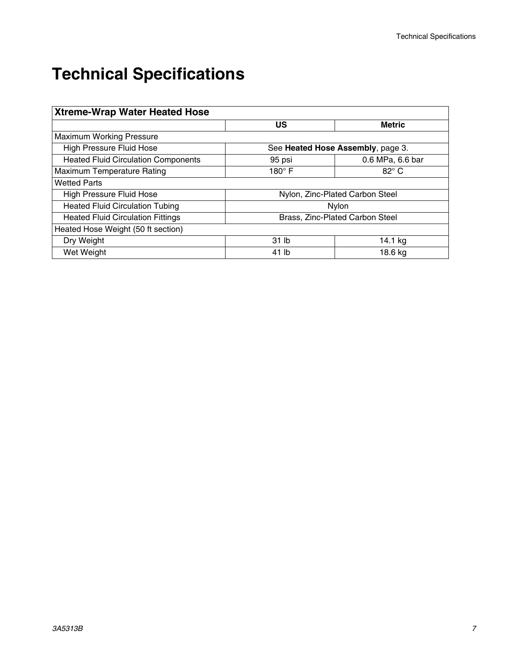# <span id="page-6-0"></span>**Technical Specifications**

| <b>Xtreme-Wrap Water Heated Hose</b>       |                  |                                   |  |  |  |  |
|--------------------------------------------|------------------|-----------------------------------|--|--|--|--|
|                                            | US               | <b>Metric</b>                     |  |  |  |  |
| Maximum Working Pressure                   |                  |                                   |  |  |  |  |
| <b>High Pressure Fluid Hose</b>            |                  | See Heated Hose Assembly, page 3. |  |  |  |  |
| <b>Heated Fluid Circulation Components</b> | 95 psi           | 0.6 MPa, 6.6 bar                  |  |  |  |  |
| Maximum Temperature Rating                 | 180 $^{\circ}$ F | $82^{\circ}$ C                    |  |  |  |  |
| <b>Wetted Parts</b>                        |                  |                                   |  |  |  |  |
| <b>High Pressure Fluid Hose</b>            |                  | Nylon, Zinc-Plated Carbon Steel   |  |  |  |  |
| <b>Heated Fluid Circulation Tubing</b>     |                  | <b>Nylon</b>                      |  |  |  |  |
| <b>Heated Fluid Circulation Fittings</b>   |                  | Brass, Zinc-Plated Carbon Steel   |  |  |  |  |
| Heated Hose Weight (50 ft section)         |                  |                                   |  |  |  |  |
| Dry Weight                                 | 31 lb            | 14.1 kg                           |  |  |  |  |
| Wet Weight                                 | 41 lb            | 18.6 kg                           |  |  |  |  |